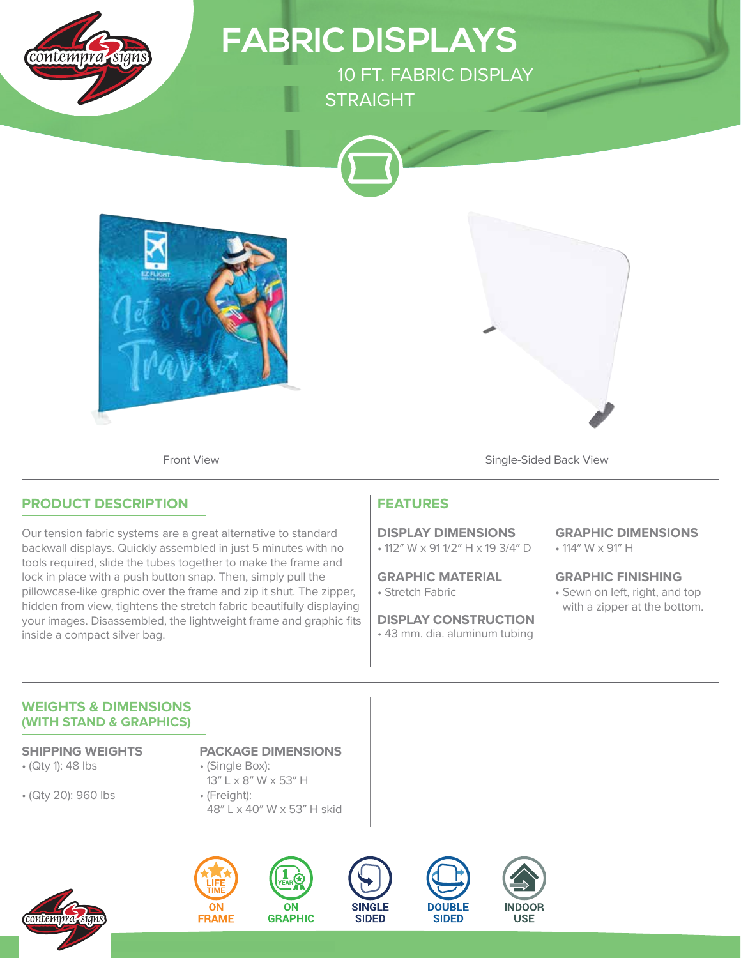

lock in place with a push button snap. Then, simply pull the pillowcase-like graphic over the frame and zip it shut. The zipper, hidden from view, tightens the stretch fabric beautifully displaying your images. Disassembled, the lightweight frame and graphic fits inside a compact silver bag.

• Stretch Fabric **GRAPHIC MATERIAL**

• 43 mm. dia. aluminum tubing **DISPLAY CONSTRUCTION** • Sewn on left, right, and top with a zipper at the bottom. **GRAPHIC FINISHING**

#### **WEIGHTS & DIMENSIONS (WITH STAND & GRAPHICS)**

- (Qty 1): 48 lbs
- (Qty 20): 960 lbs

**SHIPPING WEIGHTS PACKAGE DIMENSIONS**

- (Single Box): 13″ L x 8″ W x 53″ H
- (Freight): 48″ L x 40″ W x 53″ H skid











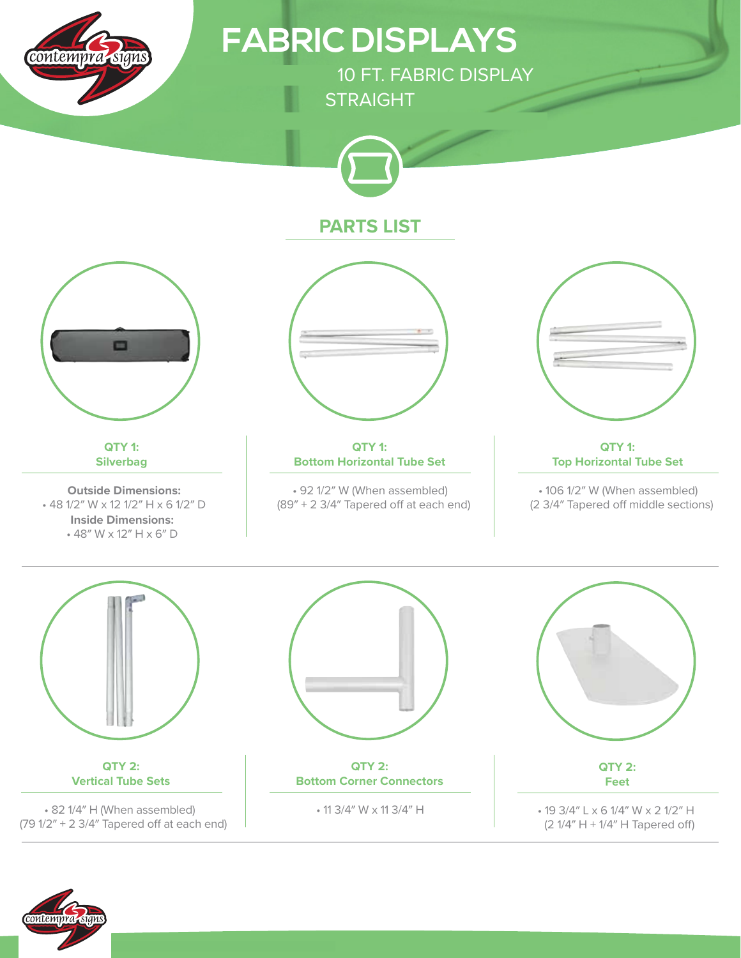

**FABRIC DISPLAYS**

10 FT. FABRIC DISPLAY **STRAIGHT** 



## **PARTS LIST**



**QTY 1: Silverbag**

**Outside Dimensions:** • 48 1/2″ W x 12 1/2″ H x 6 1/2″ D **Inside Dimensions:** • 48″ W x 12″ H x 6″ D



**QTY 1: Bottom Horizontal Tube Set**

• 92 1/2″ W (When assembled)  $(89'' + 2 \frac{3}{4''}$  Tapered off at each end)



**QTY 1: Top Horizontal Tube Set**

• 106 1/2″ W (When assembled) (2 3/4" Tapered off middle sections)